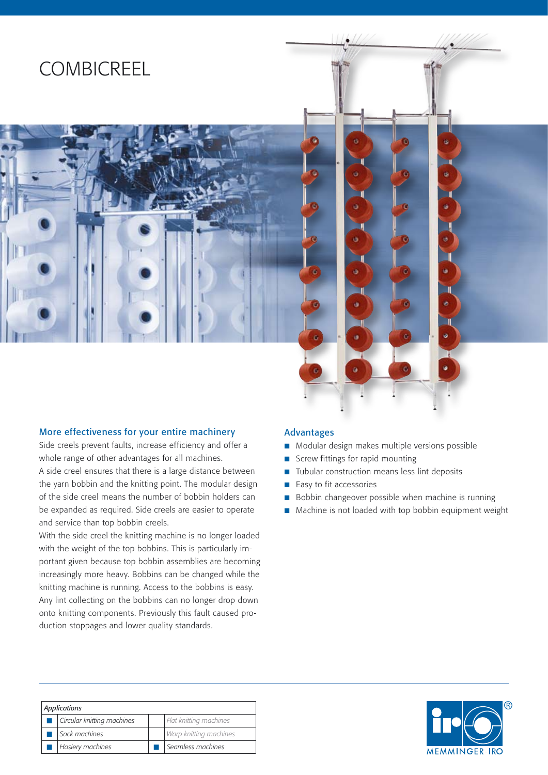# **COMBICREEL**



#### More effectiveness for your entire machinery

Side creels prevent faults, increase efficiency and offer a whole range of other advantages for all machines. A side creel ensures that there is a large distance between the yarn bobbin and the knitting point. The modular design of the side creel means the number of bobbin holders can be expanded as required. Side creels are easier to operate and service than top bobbin creels.

With the side creel the knitting machine is no longer loaded with the weight of the top bobbins. This is particularly important given because top bobbin assemblies are becoming increasingly more heavy. Bobbins can be changed while the knitting machine is running. Access to the bobbins is easy. Any lint collecting on the bobbins can no longer drop down onto knitting components. Previously this fault caused production stoppages and lower quality standards.

#### Advantages

- Modular design makes multiple versions possible
- Screw fittings for rapid mounting n
- Tubular construction means less lint deposits n
- Easy to fit accessories n
- Bobbin changeover possible when machine is running n
- Machine is not loaded with top bobbin equipment weight n

| Applications |                            |  |                        |  |
|--------------|----------------------------|--|------------------------|--|
|              | Circular knitting machines |  | Flat knitting machines |  |
|              | Sock machines              |  | Warp knitting machines |  |
|              | <b>Hosiery machines</b>    |  | Seamless machines      |  |